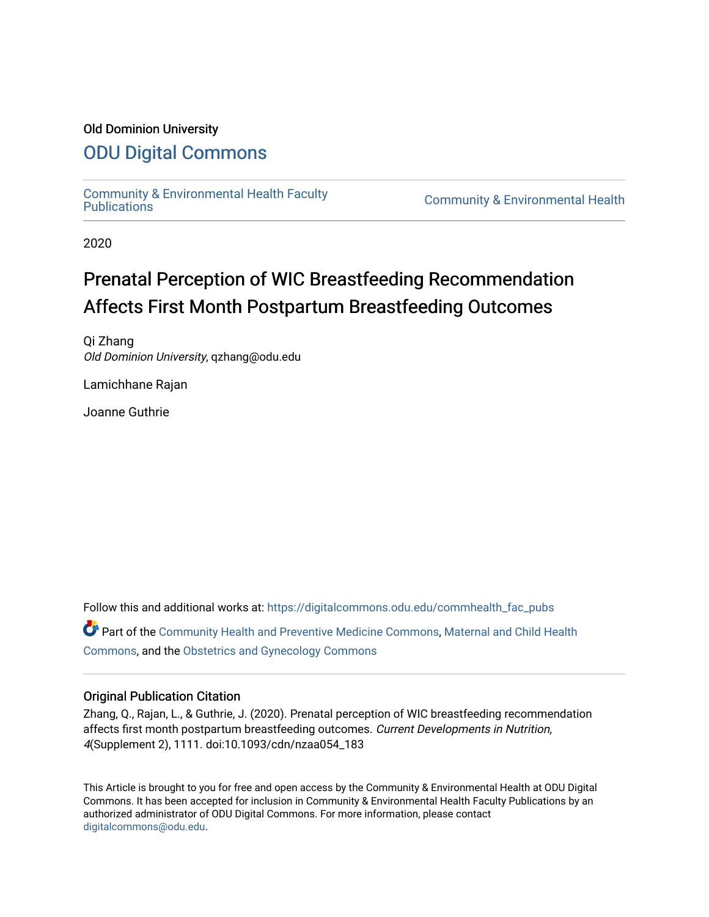### Old Dominion University

## [ODU Digital Commons](https://digitalcommons.odu.edu/)

[Community & Environmental Health Faculty](https://digitalcommons.odu.edu/commhealth_fac_pubs)

**Community & Environmental Health** 

2020

# Prenatal Perception of WIC Breastfeeding Recommendation Affects First Month Postpartum Breastfeeding Outcomes

Qi Zhang Old Dominion University, qzhang@odu.edu

Lamichhane Rajan

Joanne Guthrie

Follow this and additional works at: [https://digitalcommons.odu.edu/commhealth\\_fac\\_pubs](https://digitalcommons.odu.edu/commhealth_fac_pubs?utm_source=digitalcommons.odu.edu%2Fcommhealth_fac_pubs%2F94&utm_medium=PDF&utm_campaign=PDFCoverPages)  Part of the [Community Health and Preventive Medicine Commons](http://network.bepress.com/hgg/discipline/744?utm_source=digitalcommons.odu.edu%2Fcommhealth_fac_pubs%2F94&utm_medium=PDF&utm_campaign=PDFCoverPages), [Maternal and Child Health](http://network.bepress.com/hgg/discipline/745?utm_source=digitalcommons.odu.edu%2Fcommhealth_fac_pubs%2F94&utm_medium=PDF&utm_campaign=PDFCoverPages)  [Commons](http://network.bepress.com/hgg/discipline/745?utm_source=digitalcommons.odu.edu%2Fcommhealth_fac_pubs%2F94&utm_medium=PDF&utm_campaign=PDFCoverPages), and the [Obstetrics and Gynecology Commons](http://network.bepress.com/hgg/discipline/693?utm_source=digitalcommons.odu.edu%2Fcommhealth_fac_pubs%2F94&utm_medium=PDF&utm_campaign=PDFCoverPages) 

#### Original Publication Citation

Zhang, Q., Rajan, L., & Guthrie, J. (2020). Prenatal perception of WIC breastfeeding recommendation affects first month postpartum breastfeeding outcomes. Current Developments in Nutrition, 4(Supplement 2), 1111. doi:10.1093/cdn/nzaa054\_183

This Article is brought to you for free and open access by the Community & Environmental Health at ODU Digital Commons. It has been accepted for inclusion in Community & Environmental Health Faculty Publications by an authorized administrator of ODU Digital Commons. For more information, please contact [digitalcommons@odu.edu](mailto:digitalcommons@odu.edu).